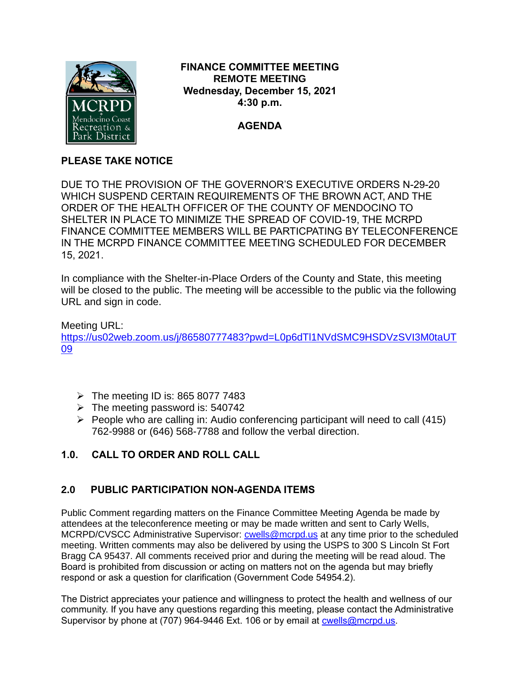

### **FINANCE COMMITTEE MEETING REMOTE MEETING Wednesday, December 15, 2021 4:30 p.m.**

## **AGENDA**

## **PLEASE TAKE NOTICE**

DUE TO THE PROVISION OF THE GOVERNOR'S EXECUTIVE ORDERS N-29-20 WHICH SUSPEND CERTAIN REQUIREMENTS OF THE BROWN ACT, AND THE ORDER OF THE HEALTH OFFICER OF THE COUNTY OF MENDOCINO TO SHELTER IN PLACE TO MINIMIZE THE SPREAD OF COVID-19, THE MCRPD FINANCE COMMITTEE MEMBERS WILL BE PARTICPATING BY TELECONFERENCE IN THE MCRPD FINANCE COMMITTEE MEETING SCHEDULED FOR DECEMBER 15, 2021.

In compliance with the Shelter-in-Place Orders of the County and State, this meeting will be closed to the public. The meeting will be accessible to the public via the following URL and sign in code.

Meeting URL: [https://us02web.zoom.us/j/86580777483?pwd=L0p6dTl1NVdSMC9HSDVzSVI3M0taUT](https://us02web.zoom.us/j/86580777483?pwd=L0p6dTl1NVdSMC9HSDVzSVI3M0taUT09) [09](https://us02web.zoom.us/j/86580777483?pwd=L0p6dTl1NVdSMC9HSDVzSVI3M0taUT09)

- $\triangleright$  The meeting ID is: 865 8077 7483
- $\triangleright$  The meeting password is: 540742
- ➢ People who are calling in: Audio conferencing participant will need to call (415) 762-9988 or (646) 568-7788 and follow the verbal direction.

# **1.0. CALL TO ORDER AND ROLL CALL**

## **2.0 PUBLIC PARTICIPATION NON-AGENDA ITEMS**

Public Comment regarding matters on the Finance Committee Meeting Agenda be made by attendees at the teleconference meeting or may be made written and sent to Carly Wells, MCRPD/CVSCC Administrative Supervisor: [cwells@mcrpd.us](mailto:cwells@mcrpd.us) at any time prior to the scheduled meeting. Written comments may also be delivered by using the USPS to 300 S Lincoln St Fort Bragg CA 95437. All comments received prior and during the meeting will be read aloud. The Board is prohibited from discussion or acting on matters not on the agenda but may briefly respond or ask a question for clarification (Government Code 54954.2).

The District appreciates your patience and willingness to protect the health and wellness of our community. If you have any questions regarding this meeting, please contact the Administrative Supervisor by phone at (707) 964-9446 Ext. 106 or by email at [cwells@mcrpd.us.](mailto:cwells@mcrpd.us)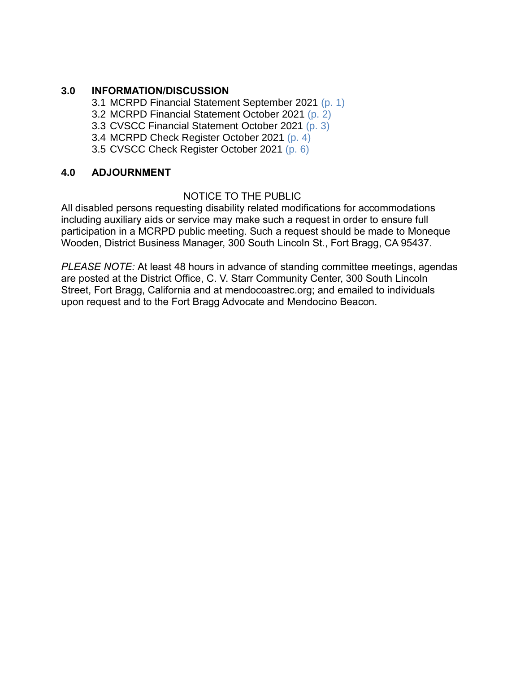### **3.0 INFORMATION/DISCUSSION**

3.1 MCRPD Financial Statement September 2021 (p. 1)

3.2 MCRPD Financial Statement October 2021 (p. 2)

3.3 CVSCC Financial Statement October 2021 (p. 3)

3.4 MCRPD Check Register October 2021 (p. 4)

3.5 CVSCC Check Register October 2021 (p. 6)

### **4.0 ADJOURNMENT**

### NOTICE TO THE PUBLIC

All disabled persons requesting disability related modifications for accommodations including auxiliary aids or service may make such a request in order to ensure full participation in a MCRPD public meeting. Such a request should be made to Moneque Wooden, District Business Manager, 300 South Lincoln St., Fort Bragg, CA 95437.

*PLEASE NOTE:* At least 48 hours in advance of standing committee meetings, agendas are posted at the District Office, C. V. Starr Community Center, 300 South Lincoln Street, Fort Bragg, California and at mendocoastrec.org; and emailed to individuals upon request and to the Fort Bragg Advocate and Mendocino Beacon.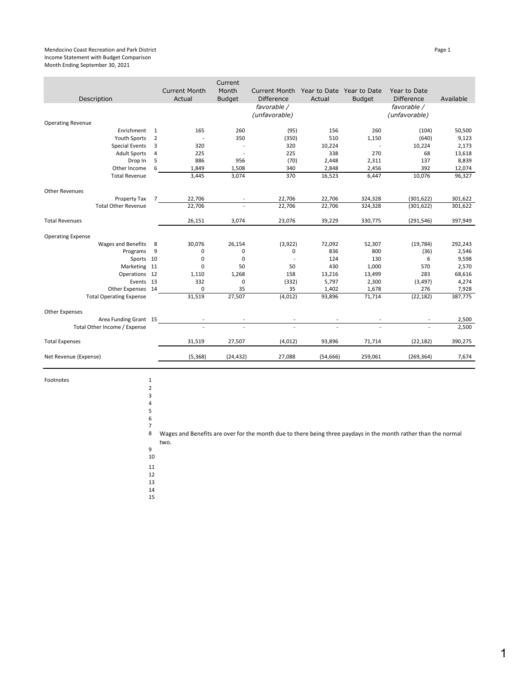#### Mendocino Coast Recreation and Park District Page 1 Income Statement with Budget Comparison Month Ending September 30, 2021

|                                |                |                                | Current                  |                                           |                                     |                |                                   |           |
|--------------------------------|----------------|--------------------------------|--------------------------|-------------------------------------------|-------------------------------------|----------------|-----------------------------------|-----------|
| Description                    |                | <b>Current Month</b><br>Actual | Month<br><b>Budget</b>   | <b>Current Month</b><br><b>Difference</b> | Year to Date Year to Date<br>Actual | <b>Budget</b>  | Year to Date<br><b>Difference</b> | Available |
|                                |                |                                |                          | favorable /<br>(unfavorable)              |                                     |                | favorable /<br>(unfavorable)      |           |
| <b>Operating Revenue</b>       |                |                                |                          |                                           |                                     |                |                                   |           |
| Enrichment                     | $\mathbf{1}$   | 165                            | 260                      | (95)                                      | 156                                 | 260            | (104)                             | 50,500    |
| <b>Youth Sports</b>            | 2              | $\overline{\phantom{a}}$       | 350                      | (350)                                     | 510                                 | 1,150          | (640)                             | 9,123     |
| <b>Special Events</b>          | 3              | 320                            |                          | 320                                       | 10,224                              | $\overline{a}$ | 10,224                            | 2,173     |
| <b>Adult Sports</b>            | 4              | 225                            | $\overline{\phantom{a}}$ | 225                                       | 338                                 | 270            | 68                                | 13,618    |
| Drop In                        | 5              | 886                            | 956                      | (70)                                      | 2,448                               | 2,311          | 137                               | 8,839     |
| Other Income                   | 6              | 1,849                          | 1,508                    | 340                                       | 2,848                               | 2,456          | 392                               | 12,074    |
| <b>Total Revenue</b>           |                | 3,445                          | 3,074                    | 370                                       | 16,523                              | 6,447          | 10,076                            | 96,327    |
| <b>Other Revenues</b>          |                |                                |                          |                                           |                                     |                |                                   |           |
| Property Tax                   | $\overline{7}$ | 22,706                         |                          | 22,706                                    | 22,706                              | 324,328        | (301, 622)                        | 301,622   |
| <b>Total Other Revenue</b>     |                | 22,706                         |                          | 22,706                                    | 22,706                              | 324,328        | (301, 622)                        | 301,622   |
| <b>Total Revenues</b>          |                | 26,151                         | 3,074                    | 23,076                                    | 39,229                              | 330,775        | (291, 546)                        | 397,949   |
| <b>Operating Expense</b>       |                |                                |                          |                                           |                                     |                |                                   |           |
| Wages and Benefits             | 8              | 30,076                         | 26,154                   | (3, 922)                                  | 72,092                              | 52,307         | (19, 784)                         | 292,243   |
| Programs                       | 9              | 0                              | 0                        | 0                                         | 836                                 | 800            | (36)                              | 2,546     |
| Sports 10                      |                | 0                              | 0                        | $\overline{a}$                            | 124                                 | 130            | 6                                 | 9,598     |
| Marketing 11                   |                | 0                              | 50                       | 50                                        | 430                                 | 1,000          | 570                               | 2,570     |
| Operations 12                  |                | 1,110                          | 1,268                    | 158                                       | 13,216                              | 13,499         | 283                               | 68,616    |
| Events 13                      |                | 332                            | 0                        | (332)                                     | 5,797                               | 2,300          | (3, 497)                          | 4,274     |
| Other Expenses 14              |                | $\mathbf 0$                    | 35                       | 35                                        | 1,402                               | 1,678          | 276                               | 7,928     |
| <b>Total Operating Expense</b> |                | 31,519                         | 27,507                   | (4,012)                                   | 93,896                              | 71,714         | (22, 182)                         | 387,775   |
| <b>Other Expenses</b>          |                |                                |                          |                                           |                                     |                |                                   |           |
| Area Funding Grant 15          |                |                                |                          |                                           |                                     |                |                                   | 2,500     |
| Total Other Income / Expense   |                |                                |                          |                                           |                                     |                |                                   | 2,500     |
| <b>Total Expenses</b>          |                | 31,519                         | 27,507                   | (4,012)                                   | 93,896                              | 71,714         | (22, 182)                         | 390,275   |
| Net Revenue (Expense)          |                | (5, 368)                       | (24, 432)                | 27,088                                    | (54, 666)                           | 259,061        | (269, 364)                        | 7,674     |

Footnotes 1

4 5 6

2 3

7

8 Wages and Benefits are over for the month due to there being three paydays in the month rather than the normal two.

9 10

11

12

13

14 15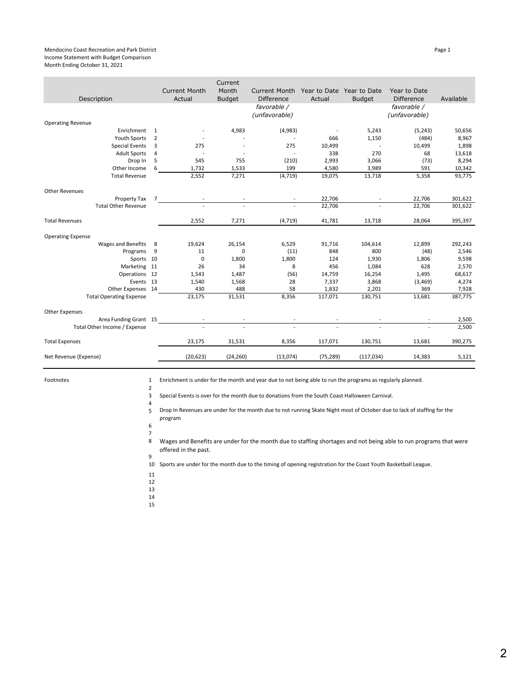#### Mendocino Coast Recreation and Park District **Page 1** and Page 1 and Page 1 and Page 1 and Page 1 and Page 1 and Page 1 and Page 1 and Page 1 and Page 1 and Page 1 and Page 1 and Page 1 and Page 1 and Page 1 and Page 1 and Income Statement with Budget Comparison Month Ending October 31, 2021

|                                |                |                                | Current                |                                           |                                     |               |                                   |           |
|--------------------------------|----------------|--------------------------------|------------------------|-------------------------------------------|-------------------------------------|---------------|-----------------------------------|-----------|
| Description                    |                | <b>Current Month</b><br>Actual | Month<br><b>Budget</b> | <b>Current Month</b><br><b>Difference</b> | Year to Date Year to Date<br>Actual | <b>Budget</b> | Year to Date<br><b>Difference</b> | Available |
|                                |                |                                |                        | favorable /<br>(unfavorable)              |                                     |               | favorable /<br>(unfavorable)      |           |
| <b>Operating Revenue</b>       |                |                                |                        |                                           |                                     |               |                                   |           |
| Enrichment                     | 1              |                                | 4,983                  | (4,983)                                   |                                     | 5,243         | (5, 243)                          | 50,656    |
| <b>Youth Sports</b>            | 2              |                                |                        |                                           | 666                                 | 1,150         | (484)                             | 8,967     |
| <b>Special Events</b>          | 3              | 275                            |                        | 275                                       | 10,499                              |               | 10,499                            | 1,898     |
| <b>Adult Sports</b>            | 4              | $\overline{\phantom{a}}$       |                        |                                           | 338                                 | 270           | 68                                | 13,618    |
| Drop In                        | 5              | 545                            | 755                    | (210)                                     | 2,993                               | 3,066         | (73)                              | 8,294     |
| Other Income                   | 6              | 1,732                          | 1,533                  | 199                                       | 4,580                               | 3,989         | 591                               | 10,342    |
| <b>Total Revenue</b>           |                | 2,552                          | 7,271                  | (4, 719)                                  | 19,075                              | 13,718        | 5,358                             | 93,775    |
| <b>Other Revenues</b>          |                |                                |                        |                                           |                                     |               |                                   |           |
| Property Tax                   | $\overline{7}$ |                                |                        |                                           | 22,706                              |               | 22,706                            | 301,622   |
| <b>Total Other Revenue</b>     |                |                                |                        |                                           | 22,706                              |               | 22,706                            | 301,622   |
| <b>Total Revenues</b>          |                | 2,552                          | 7,271                  | (4, 719)                                  | 41,781                              | 13,718        | 28,064                            | 395,397   |
| <b>Operating Expense</b>       |                |                                |                        |                                           |                                     |               |                                   |           |
| Wages and Benefits             | 8              | 19,624                         | 26,154                 | 6,529                                     | 91,716                              | 104,614       | 12,899                            | 292,243   |
| Programs                       | 9              | 11                             | 0                      | (11)                                      | 848                                 | 800           | (48)                              | 2,546     |
| Sports 10                      |                | 0                              | 1,800                  | 1,800                                     | 124                                 | 1,930         | 1,806                             | 9,598     |
| Marketing 11                   |                | 26                             | 34                     | 8                                         | 456                                 | 1,084         | 628                               | 2,570     |
| Operations 12                  |                | 1,543                          | 1,487                  | (56)                                      | 14,759                              | 16,254        | 1,495                             | 68,617    |
| Events 13                      |                | 1,540                          | 1,568                  | 28                                        | 7,337                               | 3,868         | (3, 469)                          | 4,274     |
| Other Expenses 14              |                | 430                            | 488                    | 58                                        | 1,832                               | 2,201         | 369                               | 7,928     |
| <b>Total Operating Expense</b> |                | 23,175                         | 31,531                 | 8,356                                     | 117,071                             | 130,751       | 13,681                            | 387,775   |
| <b>Other Expenses</b>          |                |                                |                        |                                           |                                     |               |                                   |           |
| Area Funding Grant 15          |                |                                |                        |                                           |                                     |               |                                   | 2,500     |
| Total Other Income / Expense   |                |                                |                        |                                           |                                     |               |                                   | 2,500     |
| <b>Total Expenses</b>          |                | 23,175                         | 31,531                 | 8,356                                     | 117,071                             | 130,751       | 13,681                            | 390,275   |
| Net Revenue (Expense)          |                | (20, 623)                      | (24, 260)              | (13,074)                                  | (75, 289)                           | (117, 034)    | 14,383                            | 5,121     |
|                                |                |                                |                        |                                           |                                     |               |                                   |           |

Footnotes

Enrichment is under for the month and year due to not being able to run the programs as regularly planned.

3 Special Events is over for the month due to donations from the South Coast Halloween Carnival.

4 5 Drop In Revenues are under for the month due to not running Skate Night most of October due to lack of staffing for the program

6 7

2

8 9 Wages and Benefits are under for the month due to staffing shortages and not being able to run programs that were offered in the past.

10 Sports are under for the month due to the timing of opening registration for the Coast Youth Basketball League.

- 11
- 12
- 13
- 14 15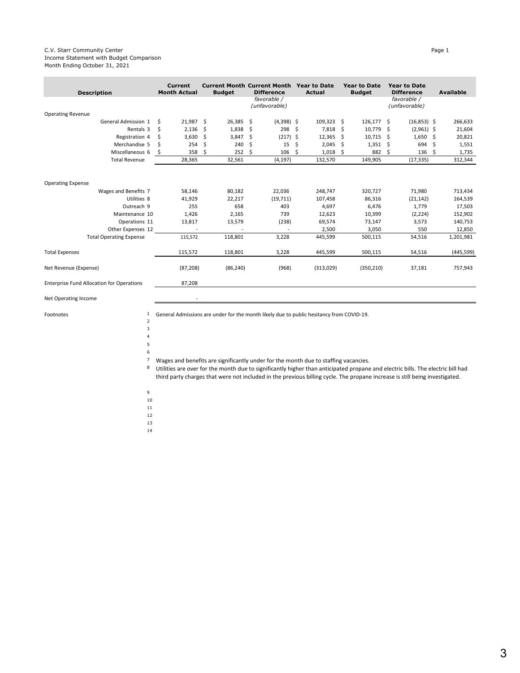### C.V. Starr Community Center Page 1 Income Statement with Budget Comparison Month Ending October 31, 2021

| <b>Description</b>                               | <b>Current</b><br><b>Month Actual</b> | <b>Budget</b> | <b>Current Month Current Month</b><br><b>Difference</b> | <b>Year to Date</b><br><b>Actual</b> | <b>Year to Date</b><br><b>Budget</b> | <b>Year to Date</b><br><b>Difference</b> | <b>Available</b> |
|--------------------------------------------------|---------------------------------------|---------------|---------------------------------------------------------|--------------------------------------|--------------------------------------|------------------------------------------|------------------|
|                                                  |                                       |               | favorable /<br>(unfavorable)                            |                                      |                                      | favorable /<br>(unfavorable)             |                  |
| <b>Operating Revenue</b>                         |                                       |               |                                                         |                                      |                                      |                                          |                  |
| General Admission 1                              | 21,987 \$<br>Ŝ.                       | 26,385        | -\$<br>$(4,398)$ \$                                     | 109,323 \$                           | $126,177$ \$                         | $(16,853)$ \$                            | 266,633          |
| Rentals 3                                        | \$<br>2,136                           | 1,838<br>-\$  | 298<br>-\$                                              | - \$<br>7,818                        | -\$<br>10,779                        | $(2,961)$ \$<br>-\$                      | 21,604           |
| Registration 4                                   | 3,630<br>Ś                            | 3,847<br>Ŝ.   | $(217)$ \$<br>\$                                        | 12,365                               | 10,715<br>- \$                       | 1,650<br>-S                              | 20,821<br>-\$    |
| Merchandise 5                                    | 254                                   | 240<br>S.     | 15<br>\$                                                | 2,045<br>\$                          | 1,351<br>-\$                         | 694<br>-\$                               | \$<br>1,551      |
| Miscellaneous 6                                  | 358<br>\$                             | 252<br>Ŝ      | 106<br>Ŝ.                                               | 1,018<br>Ŝ                           | 882<br>.s                            | 136<br>-\$                               | -\$<br>1,735     |
| <b>Total Revenue</b>                             | 28,365                                | 32,561        | (4, 197)                                                | 132,570                              | 149,905                              | (17, 335)                                | 312,344          |
| <b>Operating Expense</b>                         |                                       |               |                                                         |                                      |                                      |                                          |                  |
| Wages and Benefits 7                             | 58,146                                | 80,182        | 22,036                                                  | 248,747                              | 320,727                              | 71,980                                   | 713,434          |
| Utilities 8                                      | 41,929                                | 22,217        | (19, 711)                                               | 107,458                              | 86,316                               | (21, 142)                                | 164,539          |
| Outreach 9                                       | 255                                   | 658           | 403                                                     | 4,697                                | 6,476                                | 1,779                                    | 17,503           |
| Maintenance 10                                   | 1,426                                 | 2,165         | 739                                                     | 12,623                               | 10,399                               | (2, 224)                                 | 152,902          |
| Operations 11                                    | 13,817                                | 13,579        | (238)                                                   | 69,574                               | 73,147                               | 3,573                                    | 140,753          |
| Other Expenses 12                                |                                       |               |                                                         | 2,500                                | 3,050                                | 550                                      | 12,850           |
| <b>Total Operating Expense</b>                   | 115,572                               | 118,801       | 3,228                                                   | 445,599                              | 500,115                              | 54,516                                   | 1,201,981        |
| <b>Total Expenses</b>                            | 115,572                               | 118,801       | 3,228                                                   | 445,599                              | 500,115                              | 54,516                                   | (445, 599)       |
| Net Revenue (Expense)                            | (87, 208)                             | (86, 240)     | (968)                                                   | (313,029)                            | (350, 210)                           | 37,181                                   | 757,943          |
| <b>Enterprise Fund Allocation for Operations</b> | 87,208                                |               |                                                         |                                      |                                      |                                          |                  |

Net Operating Income

Footnotes 1

General Admissions are under for the month likely due to public hesitancy from COVID-19.

- 2 3
	- 4 5 6
	- 7 Wages and benefits are significantly under for the month due to staffing vacancies.
	- 8 Utilities are over for the month due to significantly higher than anticipated propane and electric bills. The electric bill had third party charges that were not included in the previous billing cycle. The propane increase is still being investigated.
	- 9
	- 10
- 11
- 12
- 13
- 14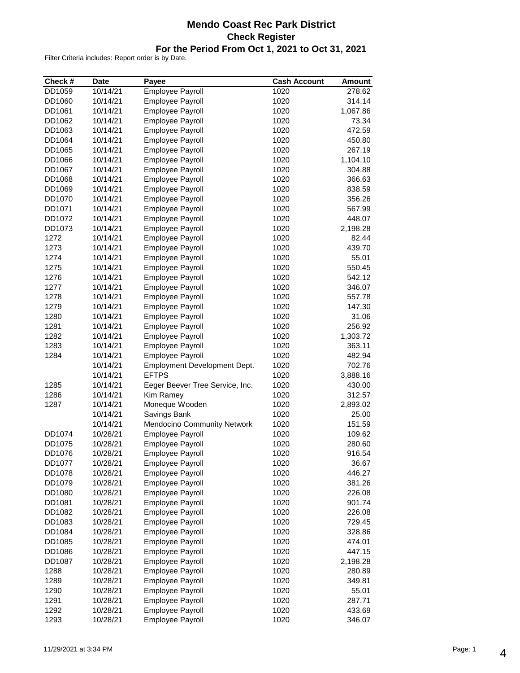### **Mendo Coast Rec Park District Check Register For the Period From Oct 1, 2021 to Oct 31, 2021**

| Check #      | <b>Date</b>          | Payee                           | <b>Cash Account</b> | <b>Amount</b>    |
|--------------|----------------------|---------------------------------|---------------------|------------------|
| DD1059       | 10/14/21             | Employee Payroll                | 1020                | 278.62           |
| DD1060       | 10/14/21             | <b>Employee Payroll</b>         | 1020                | 314.14           |
| DD1061       | 10/14/21             | <b>Employee Payroll</b>         | 1020                | 1,067.86         |
| DD1062       | 10/14/21             | <b>Employee Payroll</b>         | 1020                | 73.34            |
| DD1063       | 10/14/21             | <b>Employee Payroll</b>         | 1020                | 472.59           |
| DD1064       | 10/14/21             | Employee Payroll                | 1020                | 450.80           |
| DD1065       | 10/14/21             | <b>Employee Payroll</b>         | 1020                | 267.19           |
| DD1066       | 10/14/21             | <b>Employee Payroll</b>         | 1020                | 1,104.10         |
| DD1067       | 10/14/21             | Employee Payroll                | 1020                | 304.88           |
| DD1068       | 10/14/21             | Employee Payroll                | 1020                | 366.63           |
| DD1069       | 10/14/21             | <b>Employee Payroll</b>         | 1020                | 838.59           |
| DD1070       | 10/14/21             | <b>Employee Payroll</b>         | 1020                | 356.26           |
| DD1071       | 10/14/21             | <b>Employee Payroll</b>         | 1020                | 567.99           |
| DD1072       | 10/14/21             | <b>Employee Payroll</b>         | 1020                | 448.07           |
| DD1073       | 10/14/21             | <b>Employee Payroll</b>         | 1020                | 2,198.28         |
| 1272         | 10/14/21             | <b>Employee Payroll</b>         | 1020                | 82.44            |
| 1273         | 10/14/21             | <b>Employee Payroll</b>         | 1020                | 439.70           |
| 1274         | 10/14/21             | <b>Employee Payroll</b>         | 1020                | 55.01            |
| 1275         | 10/14/21             | <b>Employee Payroll</b>         | 1020                | 550.45           |
| 1276         | 10/14/21             | <b>Employee Payroll</b>         | 1020                | 542.12           |
| 1277         | 10/14/21             | <b>Employee Payroll</b>         | 1020                | 346.07           |
| 1278         | 10/14/21             | <b>Employee Payroll</b>         | 1020                | 557.78           |
| 1279         | 10/14/21             | <b>Employee Payroll</b>         | 1020                | 147.30           |
| 1280         | 10/14/21             | <b>Employee Payroll</b>         | 1020                | 31.06            |
| 1281         | 10/14/21             | <b>Employee Payroll</b>         | 1020                | 256.92           |
| 1282         | 10/14/21             | <b>Employee Payroll</b>         | 1020                | 1,303.72         |
| 1283         | 10/14/21             | <b>Employee Payroll</b>         | 1020                | 363.11           |
| 1284         | 10/14/21             | Employee Payroll                | 1020                | 482.94           |
|              | 10/14/21             | Employment Development Dept.    | 1020                | 702.76           |
|              | 10/14/21             | <b>EFTPS</b>                    | 1020                | 3,888.16         |
| 1285         | 10/14/21             | Eeger Beever Tree Service, Inc. | 1020                | 430.00           |
| 1286         | 10/14/21             | Kim Ramey                       | 1020                | 312.57           |
| 1287         | 10/14/21             | Moneque Wooden                  | 1020                | 2,893.02         |
|              | 10/14/21             | Savings Bank                    | 1020                | 25.00            |
|              | 10/14/21             | Mendocino Community Network     | 1020                | 151.59           |
| DD1074       | 10/28/21             | <b>Employee Payroll</b>         | 1020                | 109.62           |
| DD1075       | 10/28/21             | <b>Employee Payroll</b>         | 1020                | 280.60           |
| DD1076       | 10/28/21             | <b>Employee Payroll</b>         | 1020                | 916.54           |
| DD1077       | 10/28/21             | <b>Employee Payroll</b>         | 1020                | 36.67            |
| DD1078       | 10/28/21             | <b>Employee Payroll</b>         | 1020                | 446.27           |
| DD1079       | 10/28/21             | <b>Employee Payroll</b>         | 1020                | 381.26           |
| DD1080       | 10/28/21             | <b>Employee Payroll</b>         | 1020                | 226.08           |
| DD1081       | 10/28/21             | <b>Employee Payroll</b>         | 1020                | 901.74           |
| DD1082       | 10/28/21             | <b>Employee Payroll</b>         | 1020                | 226.08           |
| DD1083       | 10/28/21             | <b>Employee Payroll</b>         | 1020                | 729.45           |
| DD1084       | 10/28/21             | <b>Employee Payroll</b>         | 1020                | 328.86           |
| DD1085       | 10/28/21             | Employee Payroll                | 1020                | 474.01           |
| DD1086       | 10/28/21             | <b>Employee Payroll</b>         | 1020                | 447.15           |
| DD1087       | 10/28/21             | <b>Employee Payroll</b>         | 1020                | 2,198.28         |
| 1288         | 10/28/21             | <b>Employee Payroll</b>         | 1020                | 280.89           |
| 1289         | 10/28/21             | <b>Employee Payroll</b>         | 1020                | 349.81           |
| 1290         | 10/28/21             | <b>Employee Payroll</b>         | 1020                | 55.01            |
|              |                      | <b>Employee Payroll</b>         |                     |                  |
| 1291<br>1292 | 10/28/21<br>10/28/21 | Employee Payroll                | 1020<br>1020        | 287.71<br>433.69 |
| 1293         | 10/28/21             | <b>Employee Payroll</b>         | 1020                | 346.07           |
|              |                      |                                 |                     |                  |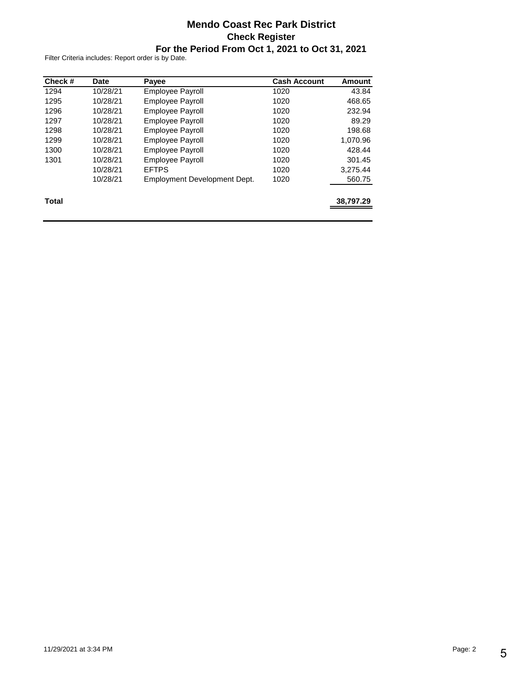### **Mendo Coast Rec Park District Check Register For the Period From Oct 1, 2021 to Oct 31, 2021**

| Check # | Date     | Payee                        | <b>Cash Account</b> | Amount    |
|---------|----------|------------------------------|---------------------|-----------|
| 1294    | 10/28/21 | <b>Employee Payroll</b>      | 1020                | 43.84     |
| 1295    | 10/28/21 | <b>Employee Payroll</b>      | 1020                | 468.65    |
| 1296    | 10/28/21 | <b>Employee Payroll</b>      | 1020                | 232.94    |
| 1297    | 10/28/21 | <b>Employee Payroll</b>      | 1020                | 89.29     |
| 1298    | 10/28/21 | <b>Employee Payroll</b>      | 1020                | 198.68    |
| 1299    | 10/28/21 | <b>Employee Payroll</b>      | 1020                | 1.070.96  |
| 1300    | 10/28/21 | <b>Employee Payroll</b>      | 1020                | 428.44    |
| 1301    | 10/28/21 | <b>Employee Payroll</b>      | 1020                | 301.45    |
|         | 10/28/21 | <b>EFTPS</b>                 | 1020                | 3,275.44  |
|         | 10/28/21 | Employment Development Dept. | 1020                | 560.75    |
| Total   |          |                              |                     | 38,797.29 |
|         |          |                              |                     |           |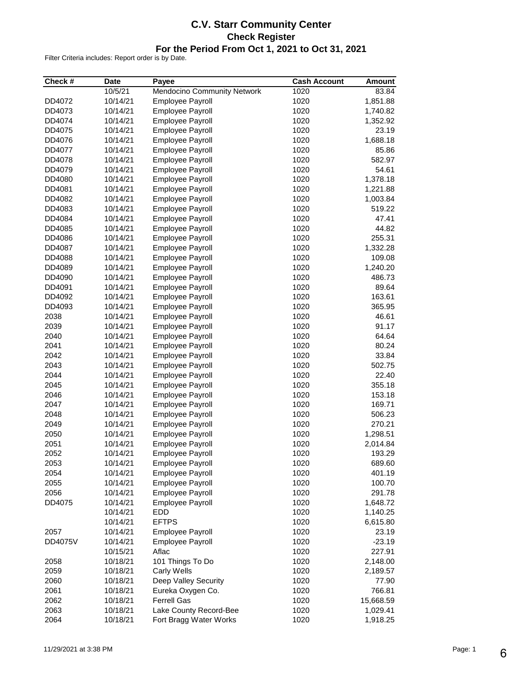### **C.V. Starr Community Center Check Register For the Period From Oct 1, 2021 to Oct 31, 2021**

| Check # | <b>Date</b> | Payee                                       | <b>Cash Account</b> | <b>Amount</b>   |
|---------|-------------|---------------------------------------------|---------------------|-----------------|
|         | 10/5/21     | Mendocino Community Network                 | 1020                | 83.84           |
| DD4072  | 10/14/21    | <b>Employee Payroll</b>                     | 1020                | 1,851.88        |
| DD4073  | 10/14/21    | Employee Payroll                            | 1020                | 1,740.82        |
| DD4074  | 10/14/21    | <b>Employee Payroll</b>                     | 1020                | 1,352.92        |
| DD4075  | 10/14/21    | <b>Employee Payroll</b>                     | 1020                | 23.19           |
| DD4076  | 10/14/21    | Employee Payroll                            | 1020                | 1,688.18        |
| DD4077  | 10/14/21    | <b>Employee Payroll</b>                     | 1020                | 85.86           |
| DD4078  | 10/14/21    | Employee Payroll                            | 1020                | 582.97          |
| DD4079  | 10/14/21    | Employee Payroll                            | 1020                | 54.61           |
| DD4080  | 10/14/21    | Employee Payroll                            | 1020                | 1,378.18        |
| DD4081  | 10/14/21    | <b>Employee Payroll</b>                     | 1020                | 1,221.88        |
| DD4082  | 10/14/21    | <b>Employee Payroll</b>                     | 1020                | 1,003.84        |
| DD4083  | 10/14/21    | Employee Payroll                            | 1020                | 519.22          |
| DD4084  | 10/14/21    | <b>Employee Payroll</b>                     | 1020                | 47.41           |
| DD4085  | 10/14/21    | <b>Employee Payroll</b>                     | 1020                | 44.82           |
| DD4086  | 10/14/21    | <b>Employee Payroll</b>                     | 1020                | 255.31          |
| DD4087  | 10/14/21    | <b>Employee Payroll</b>                     | 1020                | 1,332.28        |
| DD4088  | 10/14/21    | <b>Employee Payroll</b>                     | 1020                | 109.08          |
| DD4089  | 10/14/21    | <b>Employee Payroll</b>                     | 1020                | 1,240.20        |
| DD4090  | 10/14/21    | Employee Payroll                            | 1020                | 486.73          |
| DD4091  | 10/14/21    | Employee Payroll                            | 1020                |                 |
|         |             |                                             | 1020                | 89.64<br>163.61 |
| DD4092  | 10/14/21    | Employee Payroll<br><b>Employee Payroll</b> | 1020                | 365.95          |
| DD4093  | 10/14/21    |                                             |                     |                 |
| 2038    | 10/14/21    | Employee Payroll                            | 1020                | 46.61           |
| 2039    | 10/14/21    | <b>Employee Payroll</b>                     | 1020                | 91.17           |
| 2040    | 10/14/21    | <b>Employee Payroll</b>                     | 1020                | 64.64           |
| 2041    | 10/14/21    | <b>Employee Payroll</b>                     | 1020                | 80.24           |
| 2042    | 10/14/21    | Employee Payroll                            | 1020                | 33.84           |
| 2043    | 10/14/21    | Employee Payroll                            | 1020                | 502.75          |
| 2044    | 10/14/21    | <b>Employee Payroll</b>                     | 1020                | 22.40           |
| 2045    | 10/14/21    | Employee Payroll                            | 1020                | 355.18          |
| 2046    | 10/14/21    | Employee Payroll                            | 1020                | 153.18          |
| 2047    | 10/14/21    | <b>Employee Payroll</b>                     | 1020                | 169.71          |
| 2048    | 10/14/21    | <b>Employee Payroll</b>                     | 1020                | 506.23          |
| 2049    | 10/14/21    | Employee Payroll                            | 1020                | 270.21          |
| 2050    | 10/14/21    | <b>Employee Payroll</b>                     | 1020                | 1,298.51        |
| 2051    | 10/14/21    | Employee Payroll                            | 1020                | 2,014.84        |
| 2052    | 10/14/21    | Employee Payroll                            | 1020                | 193.29          |
| 2053    | 10/14/21    | <b>Employee Payroll</b>                     | 1020                | 689.60          |
| 2054    | 10/14/21    | <b>Employee Payroll</b>                     | 1020                | 401.19          |
| 2055    | 10/14/21    | <b>Employee Payroll</b>                     | 1020                | 100.70          |
| 2056    | 10/14/21    | Employee Payroll                            | 1020                | 291.78          |
| DD4075  | 10/14/21    | <b>Employee Payroll</b>                     | 1020                | 1,648.72        |
|         | 10/14/21    | EDD                                         | 1020                | 1,140.25        |
|         | 10/14/21    | <b>EFTPS</b>                                | 1020                | 6,615.80        |
| 2057    | 10/14/21    | <b>Employee Payroll</b>                     | 1020                | 23.19           |
| DD4075V | 10/14/21    | <b>Employee Payroll</b>                     | 1020                | $-23.19$        |
|         | 10/15/21    | Aflac                                       | 1020                | 227.91          |
| 2058    | 10/18/21    | 101 Things To Do                            | 1020                | 2,148.00        |
| 2059    | 10/18/21    | Carly Wells                                 | 1020                | 2,189.57        |
| 2060    | 10/18/21    | Deep Valley Security                        | 1020                | 77.90           |
| 2061    | 10/18/21    | Eureka Oxygen Co.                           | 1020                | 766.81          |
| 2062    | 10/18/21    | <b>Ferrell Gas</b>                          | 1020                | 15,668.59       |
| 2063    | 10/18/21    | Lake County Record-Bee                      | 1020                | 1,029.41        |
| 2064    | 10/18/21    | Fort Bragg Water Works                      | 1020                | 1,918.25        |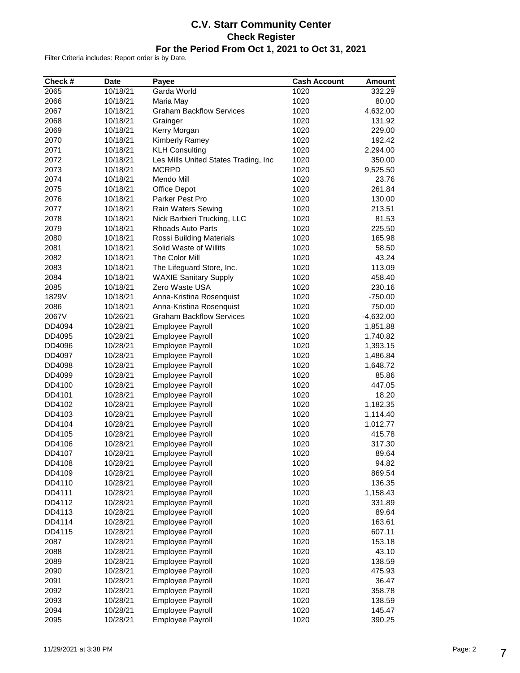### **C.V. Starr Community Center Check Register For the Period From Oct 1, 2021 to Oct 31, 2021**

| Check # | <b>Date</b> | Payee                                | <b>Cash Account</b> | <b>Amount</b> |
|---------|-------------|--------------------------------------|---------------------|---------------|
| 2065    | 10/18/21    | Garda World                          | 1020                | 332.29        |
| 2066    | 10/18/21    | Maria May                            | 1020                | 80.00         |
| 2067    | 10/18/21    | <b>Graham Backflow Services</b>      | 1020                | 4,632.00      |
| 2068    | 10/18/21    | Grainger                             | 1020                | 131.92        |
| 2069    | 10/18/21    | Kerry Morgan                         | 1020                | 229.00        |
| 2070    | 10/18/21    | Kimberly Ramey                       | 1020                | 192.42        |
| 2071    | 10/18/21    | <b>KLH Consulting</b>                | 1020                | 2,294.00      |
| 2072    | 10/18/21    | Les Mills United States Trading, Inc | 1020                | 350.00        |
| 2073    | 10/18/21    | <b>MCRPD</b>                         | 1020                | 9,525.50      |
| 2074    | 10/18/21    | Mendo Mill                           | 1020                | 23.76         |
| 2075    | 10/18/21    | Office Depot                         | 1020                | 261.84        |
| 2076    | 10/18/21    | Parker Pest Pro                      | 1020                | 130.00        |
| 2077    | 10/18/21    | Rain Waters Sewing                   | 1020                | 213.51        |
| 2078    | 10/18/21    | Nick Barbieri Trucking, LLC          | 1020                | 81.53         |
| 2079    | 10/18/21    | <b>Rhoads Auto Parts</b>             | 1020                | 225.50        |
| 2080    | 10/18/21    | Rossi Building Materials             | 1020                | 165.98        |
| 2081    | 10/18/21    | Solid Waste of Willits               | 1020                | 58.50         |
| 2082    | 10/18/21    | The Color Mill                       | 1020                | 43.24         |
| 2083    | 10/18/21    | The Lifeguard Store, Inc.            | 1020                | 113.09        |
| 2084    | 10/18/21    | <b>WAXIE Sanitary Supply</b>         | 1020                | 458.40        |
| 2085    | 10/18/21    | Zero Waste USA                       | 1020                | 230.16        |
| 1829V   | 10/18/21    | Anna-Kristina Rosenquist             | 1020                | $-750.00$     |
| 2086    | 10/18/21    | Anna-Kristina Rosenquist             | 1020                | 750.00        |
| 2067V   | 10/26/21    | <b>Graham Backflow Services</b>      | 1020                | $-4,632.00$   |
| DD4094  | 10/28/21    | Employee Payroll                     | 1020                | 1,851.88      |
| DD4095  | 10/28/21    | <b>Employee Payroll</b>              | 1020                | 1,740.82      |
| DD4096  | 10/28/21    | Employee Payroll                     | 1020                | 1,393.15      |
| DD4097  | 10/28/21    | Employee Payroll                     | 1020                | 1,486.84      |
| DD4098  | 10/28/21    | <b>Employee Payroll</b>              | 1020                | 1,648.72      |
| DD4099  | 10/28/21    | <b>Employee Payroll</b>              | 1020                | 85.86         |
| DD4100  | 10/28/21    | Employee Payroll                     | 1020                | 447.05        |
| DD4101  | 10/28/21    | Employee Payroll                     | 1020                | 18.20         |
| DD4102  | 10/28/21    | <b>Employee Payroll</b>              | 1020                | 1,182.35      |
| DD4103  | 10/28/21    | <b>Employee Payroll</b>              | 1020                | 1,114.40      |
| DD4104  | 10/28/21    | <b>Employee Payroll</b>              | 1020                | 1,012.77      |
| DD4105  | 10/28/21    | <b>Employee Payroll</b>              | 1020                | 415.78        |
| DD4106  | 10/28/21    | <b>Employee Payroll</b>              | 1020                | 317.30        |
| DD4107  | 10/28/21    | <b>Employee Payroll</b>              | 1020                | 89.64         |
| DD4108  | 10/28/21    | <b>Employee Payroll</b>              | 1020                | 94.82         |
| DD4109  | 10/28/21    | <b>Employee Payroll</b>              | 1020                | 869.54        |
| DD4110  | 10/28/21    | <b>Employee Payroll</b>              | 1020                | 136.35        |
| DD4111  | 10/28/21    | Employee Payroll                     | 1020                | 1,158.43      |
| DD4112  | 10/28/21    | Employee Payroll                     | 1020                | 331.89        |
| DD4113  | 10/28/21    | Employee Payroll                     | 1020                | 89.64         |
| DD4114  | 10/28/21    | Employee Payroll                     | 1020                | 163.61        |
| DD4115  | 10/28/21    | Employee Payroll                     | 1020                | 607.11        |
| 2087    | 10/28/21    | <b>Employee Payroll</b>              | 1020                | 153.18        |
| 2088    | 10/28/21    | <b>Employee Payroll</b>              | 1020                | 43.10         |
| 2089    | 10/28/21    | <b>Employee Payroll</b>              | 1020                | 138.59        |
| 2090    | 10/28/21    | Employee Payroll                     | 1020                | 475.93        |
| 2091    | 10/28/21    | Employee Payroll                     | 1020                | 36.47         |
| 2092    | 10/28/21    | <b>Employee Payroll</b>              | 1020                | 358.78        |
| 2093    | 10/28/21    | Employee Payroll                     | 1020                | 138.59        |
| 2094    | 10/28/21    | Employee Payroll                     | 1020                | 145.47        |
| 2095    | 10/28/21    | Employee Payroll                     | 1020                | 390.25        |
|         |             |                                      |                     |               |